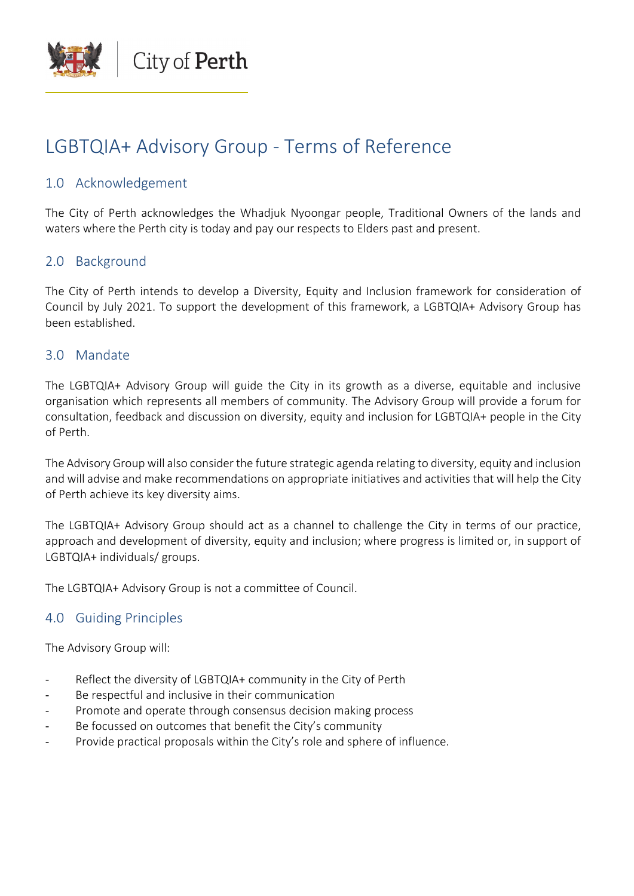

# LGBTQIA+ Advisory Group - Terms of Reference

## 1.0 Acknowledgement

The City of Perth acknowledges the Whadjuk Nyoongar people, Traditional Owners of the lands and waters where the Perth city is today and pay our respects to Elders past and present.

# 2.0 Background

The City of Perth intends to develop a Diversity, Equity and Inclusion framework for consideration of Council by July 2021. To support the development of this framework, a LGBTQIA+ Advisory Group has been established.

## 3.0 Mandate

The LGBTQIA+ Advisory Group will guide the City in its growth as a diverse, equitable and inclusive organisation which represents all members of community. The Advisory Group will provide a forum for consultation, feedback and discussion on diversity, equity and inclusion for LGBTQIA+ people in the City of Perth.

The Advisory Group will also consider the future strategic agenda relating to diversity, equity and inclusion and will advise and make recommendations on appropriate initiatives and activities that will help the City of Perth achieve its key diversity aims.

The LGBTQIA+ Advisory Group should act as a channel to challenge the City in terms of our practice, approach and development of diversity, equity and inclusion; where progress is limited or, in support of LGBTQIA+ individuals/ groups.

The LGBTQIA+ Advisory Group is not a committee of Council.

# 4.0 Guiding Principles

The Advisory Group will:

- Reflect the diversity of LGBTQIA+ community in the City of Perth
- Be respectful and inclusive in their communication
- Promote and operate through consensus decision making process
- Be focussed on outcomes that benefit the City's community
- Provide practical proposals within the City's role and sphere of influence.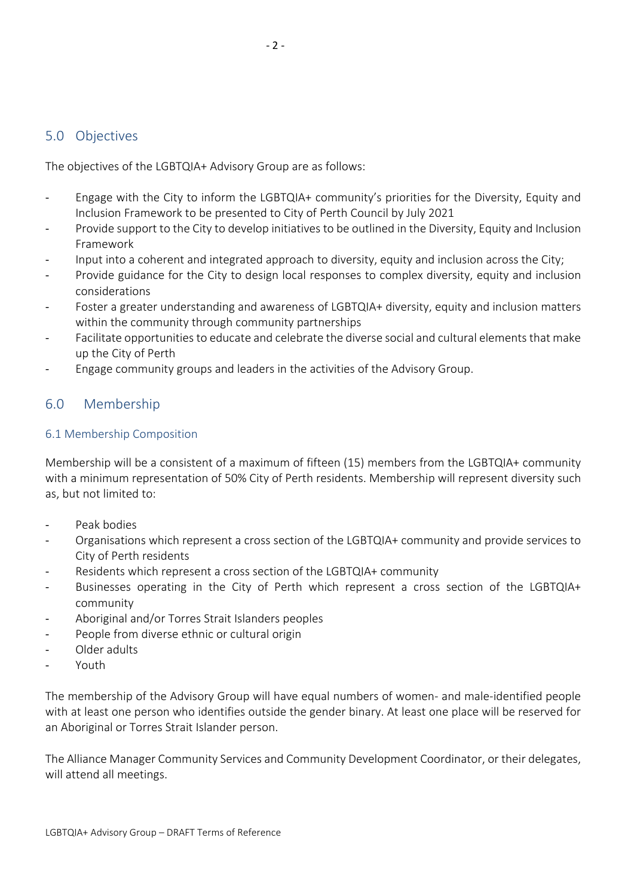## 5.0 Objectives

The objectives of the LGBTQIA+ Advisory Group are as follows:

- Engage with the City to inform the LGBTQIA+ community's priorities for the Diversity, Equity and Inclusion Framework to be presented to City of Perth Council by July 2021
- Provide support to the City to develop initiatives to be outlined in the Diversity, Equity and Inclusion Framework
- Input into a coherent and integrated approach to diversity, equity and inclusion across the City;
- Provide guidance for the City to design local responses to complex diversity, equity and inclusion considerations
- Foster a greater understanding and awareness of LGBTQIA+ diversity, equity and inclusion matters within the community through community partnerships
- Facilitate opportunities to educate and celebrate the diverse social and cultural elements that make up the City of Perth
- Engage community groups and leaders in the activities of the Advisory Group.

# 6.0 Membership

#### 6.1 Membership Composition

Membership will be a consistent of a maximum of fifteen (15) members from the LGBTQIA+ community with a minimum representation of 50% City of Perth residents. Membership will represent diversity such as, but not limited to:

- Peak bodies
- Organisations which represent a cross section of the LGBTQIA+ community and provide services to City of Perth residents
- Residents which represent a cross section of the LGBTQIA+ community
- Businesses operating in the City of Perth which represent a cross section of the LGBTQIA+ community
- Aboriginal and/or Torres Strait Islanders peoples
- People from diverse ethnic or cultural origin
- Older adults
- Youth

The membership of the Advisory Group will have equal numbers of women- and male-identified people with at least one person who identifies outside the gender binary. At least one place will be reserved for an Aboriginal or Torres Strait Islander person.

The Alliance Manager Community Services and Community Development Coordinator, or their delegates, will attend all meetings.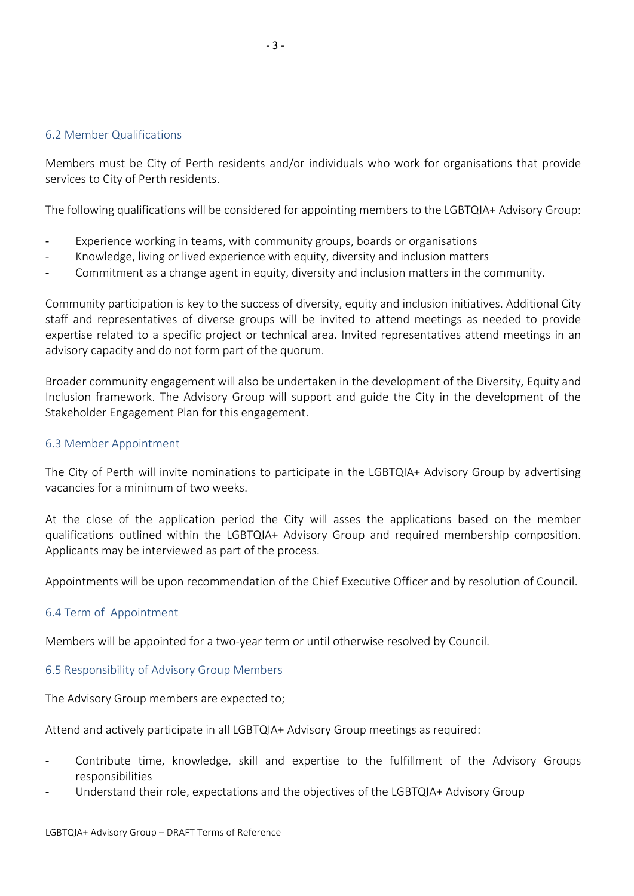#### 6.2 Member Qualifications

Members must be City of Perth residents and/or individuals who work for organisations that provide services to City of Perth residents.

The following qualifications will be considered for appointing members to the LGBTQIA+ Advisory Group:

- Experience working in teams, with community groups, boards or organisations
- Knowledge, living or lived experience with equity, diversity and inclusion matters
- Commitment as a change agent in equity, diversity and inclusion matters in the community.

Community participation is key to the success of diversity, equity and inclusion initiatives. Additional City staff and representatives of diverse groups will be invited to attend meetings as needed to provide expertise related to a specific project or technical area. Invited representatives attend meetings in an advisory capacity and do not form part of the quorum.

Broader community engagement will also be undertaken in the development of the Diversity, Equity and Inclusion framework. The Advisory Group will support and guide the City in the development of the Stakeholder Engagement Plan for this engagement.

#### 6.3 Member Appointment

The City of Perth will invite nominations to participate in the LGBTQIA+ Advisory Group by advertising vacancies for a minimum of two weeks.

At the close of the application period the City will asses the applications based on the member qualifications outlined within the LGBTQIA+ Advisory Group and required membership composition. Applicants may be interviewed as part of the process.

Appointments will be upon recommendation of the Chief Executive Officer and by resolution of Council.

#### 6.4 Term of Appointment

Members will be appointed for a two-year term or until otherwise resolved by Council.

#### 6.5 Responsibility of Advisory Group Members

The Advisory Group members are expected to;

Attend and actively participate in all LGBTQIA+ Advisory Group meetings as required:

- Contribute time, knowledge, skill and expertise to the fulfillment of the Advisory Groups responsibilities
- Understand their role, expectations and the objectives of the LGBTQIA+ Advisory Group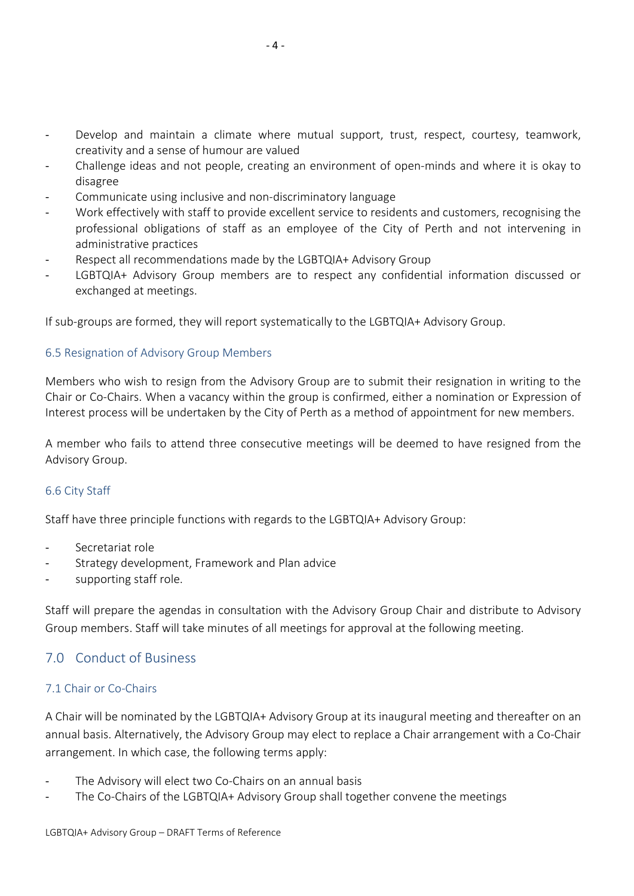- Develop and maintain a climate where mutual support, trust, respect, courtesy, teamwork, creativity and a sense of humour are valued
- Challenge ideas and not people, creating an environment of open-minds and where it is okay to disagree
- Communicate using inclusive and non-discriminatory language
- Work effectively with staff to provide excellent service to residents and customers, recognising the professional obligations of staff as an employee of the City of Perth and not intervening in administrative practices
- Respect all recommendations made by the LGBTQIA+ Advisory Group
- LGBTQIA+ Advisory Group members are to respect any confidential information discussed or exchanged at meetings.

If sub-groups are formed, they will report systematically to the LGBTQIA+ Advisory Group.

#### 6.5 Resignation of Advisory Group Members

Members who wish to resign from the Advisory Group are to submit their resignation in writing to the Chair or Co-Chairs. When a vacancy within the group is confirmed, either a nomination or Expression of Interest process will be undertaken by the City of Perth as a method of appointment for new members.

A member who fails to attend three consecutive meetings will be deemed to have resigned from the Advisory Group.

## 6.6 City Staff

Staff have three principle functions with regards to the LGBTQIA+ Advisory Group:

- Secretariat role
- Strategy development, Framework and Plan advice
- supporting staff role.

Staff will prepare the agendas in consultation with the Advisory Group Chair and distribute to Advisory Group members. Staff will take minutes of all meetings for approval at the following meeting.

# 7.0 Conduct of Business

## 7.1 Chair or Co-Chairs

A Chair will be nominated by the LGBTQIA+ Advisory Group at its inaugural meeting and thereafter on an annual basis. Alternatively, the Advisory Group may elect to replace a Chair arrangement with a Co-Chair arrangement. In which case, the following terms apply:

- The Advisory will elect two Co-Chairs on an annual basis
- The Co-Chairs of the LGBTQIA+ Advisory Group shall together convene the meetings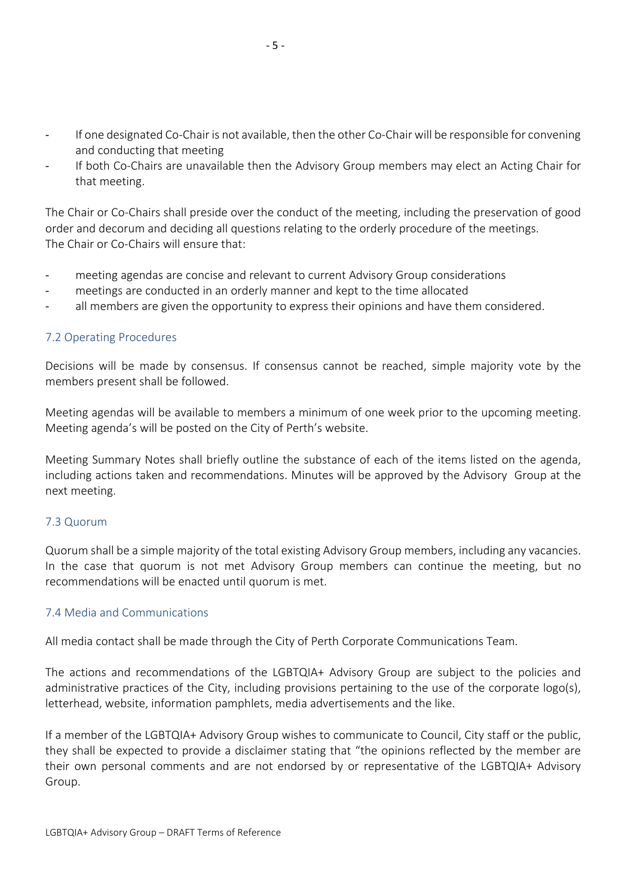- If one designated Co-Chair is not available, then the other Co-Chair will be responsible for convening and conducting that meeting
- If both Co-Chairs are unavailable then the Advisory Group members may elect an Acting Chair for that meeting.

The Chair or Co-Chairs shall preside over the conduct of the meeting, including the preservation of good order and decorum and deciding all questions relating to the orderly procedure of the meetings. The Chair or Co-Chairs will ensure that:

- meeting agendas are concise and relevant to current Advisory Group considerations
- meetings are conducted in an orderly manner and kept to the time allocated
- all members are given the opportunity to express their opinions and have them considered.

#### 7.2 Operating Procedures

Decisions will be made by consensus. If consensus cannot be reached, simple majority vote by the members present shall be followed.

Meeting agendas will be available to members a minimum of one week prior to the upcoming meeting. Meeting agenda's will be posted on the City of Perth's website.

Meeting Summary Notes shall briefly outline the substance of each of the items listed on the agenda, including actions taken and recommendations. Minutes will be approved by the Advisory Group at the next meeting.

#### 7.3 Quorum

Quorum shall be a simple majority of the total existing Advisory Group members, including any vacancies. In the case that quorum is not met Advisory Group members can continue the meeting, but no recommendations will be enacted until quorum is met.

#### 7.4 Media and Communications

All media contact shall be made through the City of Perth Corporate Communications Team.

The actions and recommendations of the LGBTQIA+ Advisory Group are subject to the policies and administrative practices of the City, including provisions pertaining to the use of the corporate logo(s), letterhead, website, information pamphlets, media advertisements and the like.

If a member of the LGBTQIA+ Advisory Group wishes to communicate to Council, City staff or the public, they shall be expected to provide a disclaimer stating that "the opinions reflected by the member are their own personal comments and are not endorsed by or representative of the LGBTQIA+ Advisory Group.